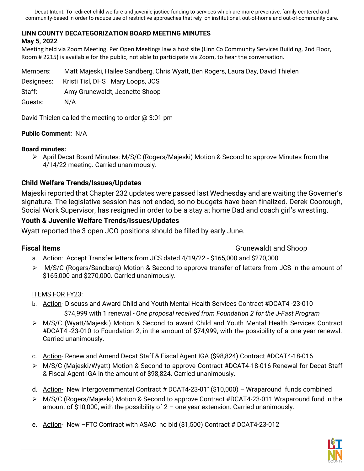Decat Intent: To redirect child welfare and juvenile justice funding to services which are more preventive, family centered and community-based in order to reduce use of restrictive approaches that rely on institutional, out-of-home and out-of-community care.

## **LINN COUNTY DECATEGORIZATION BOARD MEETING MINUTES**

### **May 5, 2022**

Meeting held via Zoom Meeting. Per Open Meetings law a host site (Linn Co Community Services Building, 2nd Floor, Room # 2215) is available for the public, not able to participate via Zoom, to hear the conversation.

Members: Matt Majeski, Hailee Sandberg, Chris Wyatt, Ben Rogers, Laura Day, David Thielen Designees: Kristi Tisl, DHS Mary Loops, JCS Staff: Amy Grunewaldt, Jeanette Shoop Guests: N/A

David Thielen called the meeting to order @ 3:01 pm

### **Public Comment:** N/A

### **Board minutes:**

 $\triangleright$  April Decat Board Minutes: M/S/C (Rogers/Majeski) Motion & Second to approve Minutes from the 4/14/22 meeting. Carried unanimously.

## **Child Welfare Trends/Issues/Updates**

Majeski reported that Chapter 232 updates were passed last Wednesday and are waiting the Governer's signature. The legislative session has not ended, so no budgets have been finalized. Derek Coorough, Social Work Supervisor, has resigned in order to be a stay at home Dad and coach girl's wrestling.

### **Youth & Juvenile Welfare Trends/Issues/Updates**

Wyatt reported the 3 open JCO positions should be filled by early June.

**Fiscal Items** Grunewaldt and Shoop

- a. Action: Accept Transfer letters from JCS dated 4/19/22 \$165,000 and \$270,000
- ► M/S/C (Rogers/Sandberg) Motion & Second to approve transfer of letters from JCS in the amount of \$165,000 and \$270,000. Carried unanimously.

### **ITEMS FOR FY23:**

- b. Action- Discuss and Award Child and Youth Mental Health Services Contract #DCAT4 -23-010 \$74,999 with 1 renewal - *One proposal received from Foundation 2 for the J-Fast Program*
- M/S/C (Wyatt/Majeski) Motion & Second to award Child and Youth Mental Health Services Contract #DCAT4 -23-010 to Foundation 2, in the amount of \$74,999, with the possibility of a one year renewal. Carried unanimously.
- c. Action- Renew and Amend Decat Staff & Fiscal Agent IGA (\$98,824) Contract #DCAT4-18-016
- M/S/C (Majeski/Wyatt) Motion & Second to approve Contract #DCAT4-18-016 Renewal for Decat Staff & Fiscal Agent IGA in the amount of \$98,824. Carried unanimously.
- d. Action- New Intergovernmental Contract # DCAT4-23-011(\$10,000) Wraparound funds combined
- M/S/C (Rogers/Majeski) Motion & Second to approve Contract #DCAT4-23-011 Wraparound fund in the amount of \$10,000, with the possibility of 2 – one year extension. Carried unanimously.
- e. Action-New -FTC Contract with ASAC no bid (\$1,500) Contract # DCAT4-23-012